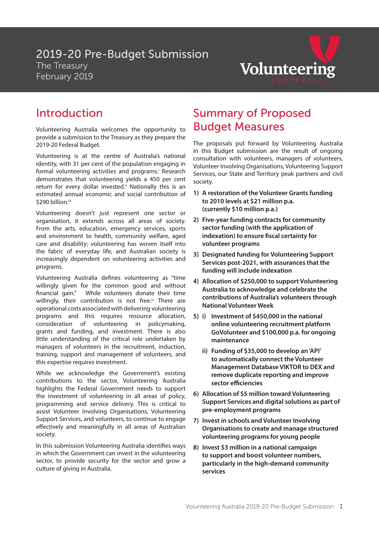### 2019-20 Pre-Budget Submission The Treasury February 2019



### Introduction

Volunteering Australia welcomes the opportunity to provide a submission to the Treasury as they prepare the 2019-20 Federal Budget.

Volunteering is at the centre of Australia's national identity, with 31 per cent of the population engaging in formal volunteering activities and programs.<sup>i</sup> Research demonstrates that volunteering yields a 450 per cent return for every dollar invested.<sup>ii</sup> Nationally this is an estimated annual economic and social contribution of \$290 billion.iii

Volunteering doesn't just represent one sector or organisation, it extends across all areas of society. From the arts, education, emergency services, sports and environment to health, community welfare, aged care and disability; volunteering has woven itself into the fabric of everyday life, and Australian society is increasingly dependent on volunteering activities and programs.

Volunteering Australia defines volunteering as "time willingly given for the common good and without financial gain." While volunteers donate their time willingly, their contribution is not free.<sup>iv</sup> There are operational costs associated with delivering volunteering programs and this requires resource allocation, consideration of volunteering in policymaking, grants and funding, and investment. There is also little understanding of the critical role undertaken by managers of volunteers in the recruitment, induction, training, support and management of volunteers, and this expertise requires investment.

While we acknowledge the Government's existing contributions to the sector, Volunteering Australia highlights the Federal Government needs to support the investment of volunteering in all areas of policy, programming and service delivery. This is critical to assist Volunteer Involving Organisations, Volunteering Support Services, and volunteers, to continue to engage effectively and meaningfully in all areas of Australian society.

In this submission Volunteering Australia identifies ways in which the Government can invest in the volunteering sector, to provide security for the sector and grow a culture of giving in Australia.

## Summary of Proposed Budget Measures

The proposals put forward by Volunteering Australia in this Budget submission are the result of ongoing consultation with volunteers, managers of volunteers, Volunteer Involving Organisations, Volunteering Support Services, our State and Territory peak partners and civil society.

- **1) A restoration of the Volunteer Grants funding to 2010 levels at \$21 million p.a. (currently \$10 million p.a.)**
- **2) Five-year funding contracts for community sector funding (with the application of indexation) to ensure fiscal certainty for volunteer programs**
- **3) Designated funding for Volunteering Support Services post-2021, with assurances that the funding will include indexation**
- **4) Allocation of \$250,000 to support Volunteering Australia to acknowledge and celebrate the contributions of Australia's volunteers through National Volunteer Week**
- **5) i) Investment of \$450,000 in the national online volunteering recruitment platform GoVolunteer and \$100,000 p.a. for ongoing maintenance**
	- **ii) Funding of \$35,000 to develop an 'API' to automatically connect the Volunteer Management Database VIKTOR to DEX and remove duplicate reporting and improve sector efficiencies**
- **6) Allocation of \$5 million toward Volunteering Support Services and digital solutions as part of pre-employment programs**
- **7) Invest in schools and Volunteer Involving Organisations to create and manage structured volunteering programs for young people**
- **8) Invest \$3 million in a national campaign to support and boost volunteer numbers, particularly in the high-demand community services**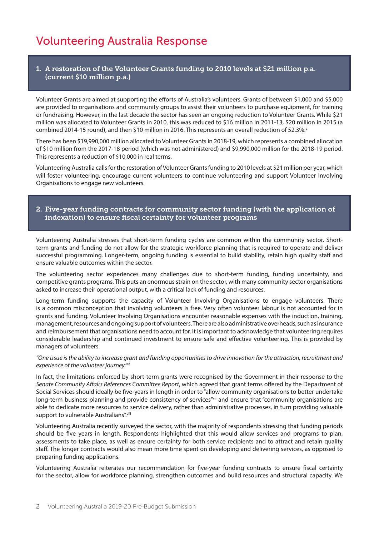## Volunteering Australia Response

#### 1. A restoration of the Volunteer Grants funding to 2010 levels at \$21 million p.a. (current \$10 million p.a.)

Volunteer Grants are aimed at supporting the efforts of Australia's volunteers. Grants of between \$1,000 and \$5,000 are provided to organisations and community groups to assist their volunteers to purchase equipment, for training or fundraising. However, in the last decade the sector has seen an ongoing reduction to Volunteer Grants. While \$21 million was allocated to Volunteer Grants in 2010, this was reduced to \$16 million in 2011-13, \$20 million in 2015 (a combined 2014-15 round), and then \$10 million in 2016. This represents an overall reduction of 52.3%.

There has been \$19,990,000 million allocated to Volunteer Grants in 2018-19, which represents a combined allocation of \$10 million from the 2017-18 period (which was not administered) and \$9,990,000 million for the 2018-19 period. This represents a reduction of \$10,000 in real terms.

Volunteering Australia calls for the restoration of Volunteer Grants funding to 2010 levels at \$21 million per year, which will foster volunteering, encourage current volunteers to continue volunteering and support Volunteer Involving Organisations to engage new volunteers.

#### 2. Five-year funding contracts for community sector funding (with the application of indexation) to ensure fiscal certainty for volunteer programs

Volunteering Australia stresses that short-term funding cycles are common within the community sector. Shortterm grants and funding do not allow for the strategic workforce planning that is required to operate and deliver successful programming. Longer-term, ongoing funding is essential to build stability, retain high quality staff and ensure valuable outcomes within the sector.

The volunteering sector experiences many challenges due to short-term funding, funding uncertainty, and competitive grants programs. This puts an enormous strain on the sector, with many community sector organisations asked to increase their operational output, with a critical lack of funding and resources.

Long-term funding supports the capacity of Volunteer Involving Organisations to engage volunteers. There is a common misconception that involving volunteers is free. Very often volunteer labour is not accounted for in grants and funding. Volunteer Involving Organisations encounter reasonable expenses with the induction, training, management, resources and ongoing support of volunteers. There are also administrative overheads, such as insurance and reimbursement that organisations need to account for. It is important to acknowledge that volunteering requires considerable leadership and continued investment to ensure safe and effective volunteering. This is provided by managers of volunteers.

#### *"One issue is the ability to increase grant and funding opportunities to drive innovation for the attraction, recruitment and experience of the volunteer journey."vi*

In fact, the limitations enforced by short-term grants were recognised by the Government in their response to the *Senate Community Affairs References Committee Report*, which agreed that grant terms offered by the Department of Social Services should ideally be five-years in length in order to "allow community organisations to better undertake long-term business planning and provide consistency of services"vii and ensure that "community organisations are able to dedicate more resources to service delivery, rather than administrative processes, in turn providing valuable support to vulnerable Australians".viii

Volunteering Australia recently surveyed the sector, with the majority of respondents stressing that funding periods should be five years in length. Respondents highlighted that this would allow services and programs to plan, assessments to take place, as well as ensure certainty for both service recipients and to attract and retain quality staff. The longer contracts would also mean more time spent on developing and delivering services, as opposed to preparing funding applications.

Volunteering Australia reiterates our recommendation for five-year funding contracts to ensure fiscal certainty for the sector, allow for workforce planning, strengthen outcomes and build resources and structural capacity. We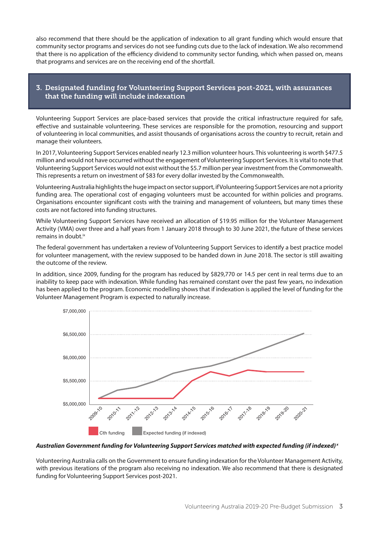also recommend that there should be the application of indexation to all grant funding which would ensure that community sector programs and services do not see funding cuts due to the lack of indexation. We also recommend that there is no application of the efficiency dividend to community sector funding, which when passed on, means that programs and services are on the receiving end of the shortfall.

### 3. Designated funding for Volunteering Support Services post-2021, with assurances that the funding will include indexation

Volunteering Support Services are place-based services that provide the critical infrastructure required for safe, effective and sustainable volunteering. These services are responsible for the promotion, resourcing and support of volunteering in local communities, and assist thousands of organisations across the country to recruit, retain and manage their volunteers.

In 2017, Volunteering Support Services enabled nearly 12.3 million volunteer hours. This volunteering is worth \$477.5 million and would not have occurred without the engagement of Volunteering Support Services. It is vital to note that Volunteering Support Services would not exist without the \$5.7 million per year investment from the Commonwealth. This represents a return on investment of \$83 for every dollar invested by the Commonwealth.

Volunteering Australia highlights the huge impact on sector support, if Volunteering Support Services are not a priority funding area. The operational cost of engaging volunteers must be accounted for within policies and programs. Organisations encounter significant costs with the training and management of volunteers, but many times these costs are not factored into funding structures.

While Volunteering Support Services have received an allocation of \$19.95 million for the Volunteer Management Activity (VMA) over three and a half years from 1 January 2018 through to 30 June 2021, the future of these services remains in doubt.<sup>ix</sup>

The federal government has undertaken a review of Volunteering Support Services to identify a best practice model for volunteer management, with the review supposed to be handed down in June 2018. The sector is still awaiting the outcome of the review.

In addition, since 2009, funding for the program has reduced by \$829,770 or 14.5 per cent in real terms due to an inability to keep pace with indexation. While funding has remained constant over the past few years, no indexation has been applied to the program. Economic modelling shows that if indexation is applied the level of funding for the Volunteer Management Program is expected to naturally increase.



#### *Australian Government funding for Volunteering Support Services matched with expected funding (if indexed) x*

Volunteering Australia calls on the Government to ensure funding indexation for the Volunteer Management Activity, with previous iterations of the program also receiving no indexation. We also recommend that there is designated funding for Volunteering Support Services post-2021.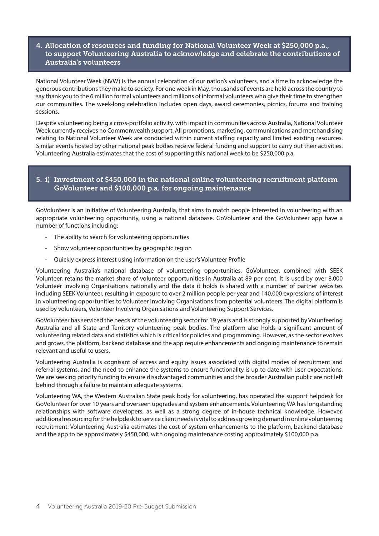#### 4. Allocation of resources and funding for National Volunteer Week at \$250,000 p.a., to support Volunteering Australia to acknowledge and celebrate the contributions of Australia's volunteers

National Volunteer Week (NVW) is the annual celebration of our nation's volunteers, and a time to acknowledge the generous contributions they make to society. For one week in May, thousands of events are held across the country to say thank you to the 6 million formal volunteers and millions of informal volunteers who give their time to strengthen our communities. The week-long celebration includes open days, award ceremonies, picnics, forums and training sessions.

Despite volunteering being a cross-portfolio activity, with impact in communities across Australia, National Volunteer Week currently receives no Commonwealth support. All promotions, marketing, communications and merchandising relating to National Volunteer Week are conducted within current staffing capacity and limited existing resources. Similar events hosted by other national peak bodies receive federal funding and support to carry out their activities. Volunteering Australia estimates that the cost of supporting this national week to be \$250,000 p.a.

#### 5. i) Investment of \$450,000 in the national online volunteering recruitment platform GoVolunteer and \$100,000 p.a. for ongoing maintenance

GoVolunteer is an initiative of Volunteering Australia, that aims to match people interested in volunteering with an appropriate volunteering opportunity, using a national database. GoVolunteer and the GoVolunteer app have a number of functions including:

- The ability to search for volunteering opportunities
- Show volunteer opportunities by geographic region
- Quickly express interest using information on the user's Volunteer Profile

Volunteering Australia's national database of volunteering opportunities, GoVolunteer, combined with SEEK Volunteer, retains the market share of volunteer opportunities in Australia at 89 per cent. It is used by over 8,000 Volunteer Involving Organisations nationally and the data it holds is shared with a number of partner websites including SEEK Volunteer, resulting in exposure to over 2 million people per year and 140,000 expressions of interest in volunteering opportunities to Volunteer Involving Organisations from potential volunteers. The digital platform is used by volunteers, Volunteer Involving Organisations and Volunteering Support Services.

GoVolunteer has serviced the needs of the volunteering sector for 19 years and is strongly supported by Volunteering Australia and all State and Territory volunteering peak bodies. The platform also holds a significant amount of volunteering related data and statistics which is critical for policies and programming. However, as the sector evolves and grows, the platform, backend database and the app require enhancements and ongoing maintenance to remain relevant and useful to users.

Volunteering Australia is cognisant of access and equity issues associated with digital modes of recruitment and referral systems, and the need to enhance the systems to ensure functionality is up to date with user expectations. We are seeking priority funding to ensure disadvantaged communities and the broader Australian public are not left behind through a failure to maintain adequate systems.

Volunteering WA, the Western Australian State peak body for volunteering, has operated the support helpdesk for GoVolunteer for over 10 years and overseen upgrades and system enhancements. Volunteering WA has longstanding relationships with software developers, as well as a strong degree of in-house technical knowledge. However, additional resourcing for the helpdesk to service client needs is vital to address growing demand in online volunteering recruitment. Volunteering Australia estimates the cost of system enhancements to the platform, backend database and the app to be approximately \$450,000, with ongoing maintenance costing approximately \$100,000 p.a.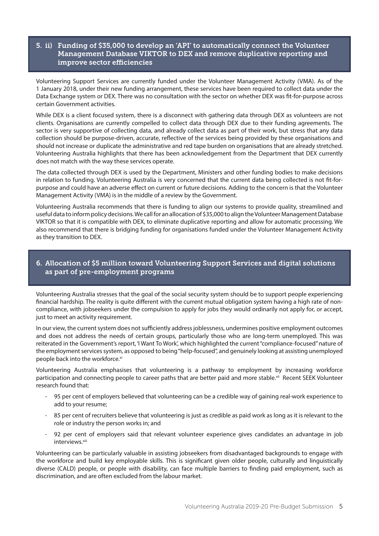#### 5. ii) Funding of \$35,000 to develop an 'API' to automatically connect the Volunteer Management Database VIKTOR to DEX and remove duplicative reporting and improve sector efficiencies

Volunteering Support Services are currently funded under the Volunteer Management Activity (VMA). As of the 1 January 2018, under their new funding arrangement, these services have been required to collect data under the Data Exchange system or DEX. There was no consultation with the sector on whether DEX was fit-for-purpose across certain Government activities.

While DEX is a client focused system, there is a disconnect with gathering data through DEX as volunteers are not clients. Organisations are currently compelled to collect data through DEX due to their funding agreements. The sector is very supportive of collecting data, and already collect data as part of their work, but stress that any data collection should be purpose-driven, accurate, reflective of the services being provided by these organisations and should not increase or duplicate the administrative and red tape burden on organisations that are already stretched. Volunteering Australia highlights that there has been acknowledgement from the Department that DEX currently does not match with the way these services operate.

The data collected through DEX is used by the Department, Ministers and other funding bodies to make decisions in relation to funding. Volunteering Australia is very concerned that the current data being collected is not fit-forpurpose and could have an adverse effect on current or future decisions. Adding to the concern is that the Volunteer Management Activity (VMA) is in the middle of a review by the Government.

Volunteering Australia recommends that there is funding to align our systems to provide quality, streamlined and useful data to inform policy decisions. We call for an allocation of \$35,000 to align the Volunteer Management Database VIKTOR so that it is compatible with DEX, to eliminate duplicative reporting and allow for automatic processing. We also recommend that there is bridging funding for organisations funded under the Volunteer Management Activity as they transition to DEX.

#### 6. Allocation of \$5 million toward Volunteering Support Services and digital solutions as part of pre-employment programs

Volunteering Australia stresses that the goal of the social security system should be to support people experiencing financial hardship. The reality is quite different with the current mutual obligation system having a high rate of noncompliance, with jobseekers under the compulsion to apply for jobs they would ordinarily not apply for, or accept, just to meet an activity requirement.

In our view, the current system does not sufficiently address joblessness, undermines positive employment outcomes and does not address the needs of certain groups, particularly those who are long-term unemployed. This was reiterated in the Government's report, 'I Want To Work', which highlighted the current "compliance-focused" nature of the employment services system, as opposed to being "help-focused", and genuinely looking at assisting unemployed people back into the workforce.xi

Volunteering Australia emphasises that volunteering is a pathway to employment by increasing workforce participation and connecting people to career paths that are better paid and more stable.xii Recent SEEK Volunteer research found that:

- 95 per cent of employers believed that volunteering can be a credible way of gaining real-work experience to add to your resume;
- 85 per cent of recruiters believe that volunteering is just as credible as paid work as long as it is relevant to the role or industry the person works in; and
- 92 per cent of employers said that relevant volunteer experience gives candidates an advantage in job interviews.<sup>xiii</sup>

Volunteering can be particularly valuable in assisting jobseekers from disadvantaged backgrounds to engage with the workforce and build key employable skills. This is significant given older people, culturally and linguistically diverse (CALD) people, or people with disability, can face multiple barriers to finding paid employment, such as discrimination, and are often excluded from the labour market.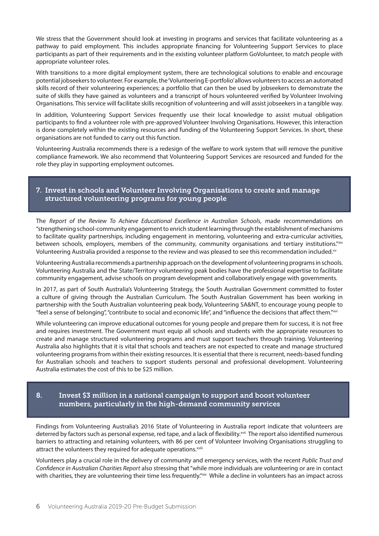We stress that the Government should look at investing in programs and services that facilitate volunteering as a pathway to paid employment. This includes appropriate financing for Volunteering Support Services to place participants as part of their requirements and in the existing volunteer platform GoVolunteer, to match people with appropriate volunteer roles.

With transitions to a more digital employment system, there are technological solutions to enable and encourage potential jobseekers to volunteer. For example, the 'Volunteering E-portfolio' allows volunteers to access an automated skills record of their volunteering experiences; a portfolio that can then be used by jobseekers to demonstrate the suite of skills they have gained as volunteers and a transcript of hours volunteered verified by Volunteer Involving Organisations. This service will facilitate skills recognition of volunteering and will assist jobseekers in a tangible way.

In addition, Volunteering Support Services frequently use their local knowledge to assist mutual obligation participants to find a volunteer role with pre-approved Volunteer Involving Organisations. However, this interaction is done completely within the existing resources and funding of the Volunteering Support Services. In short, these organisations are not funded to carry out this function.

Volunteering Australia recommends there is a redesign of the welfare to work system that will remove the punitive compliance framework. We also recommend that Volunteering Support Services are resourced and funded for the role they play in supporting employment outcomes.

#### 7. Invest in schools and Volunteer Involving Organisations to create and manage structured volunteering programs for young people

The *Report of the Review To Achieve Educational Excellence in Australian Schools*, made recommendations on "strengthening school-community engagement to enrich student learning through the establishment of mechanisms to facilitate quality partnerships, including engagement in mentoring, volunteering and extra-curricular activities, between schools, employers, members of the community, community organisations and tertiary institutions."xiv Volunteering Australia provided a response to the review and was pleased to see this recommendation included. $x<sub>v</sub>$ 

Volunteering Australia recommends a partnership approach on the development of volunteering programs in schools. Volunteering Australia and the State/Territory volunteering peak bodies have the professional expertise to facilitate community engagement, advise schools on program development and collaboratively engage with governments.

In 2017, as part of South Australia's Volunteering Strategy, the South Australian Government committed to foster a culture of giving through the Australian Curriculum. The South Australian Government has been working in partnership with the South Australian volunteering peak body, Volunteering SA&NT, to encourage young people to "feel a sense of belonging", "contribute to social and economic life", and "influence the decisions that affect them."xvi

While volunteering can improve educational outcomes for young people and prepare them for success, it is not free and requires investment. The Government must equip all schools and students with the appropriate resources to create and manage structured volunteering programs and must support teachers through training. Volunteering Australia also highlights that it is vital that schools and teachers are not expected to create and manage structured volunteering programs from within their existing resources. It is essential that there is recurrent, needs-based funding for Australian schools and teachers to support students personal and professional development. Volunteering Australia estimates the cost of this to be \$25 million.

### 8. Invest \$3 million in a national campaign to support and boost volunteer numbers, particularly in the high-demand community services

Findings from Volunteering Australia's 2016 State of Volunteering in Australia report indicate that volunteers are deterred by factors such as personal expense, red tape, and a lack of flexibility.<sup>xvii</sup> The report also identified numerous barriers to attracting and retaining volunteers, with 86 per cent of Volunteer Involving Organisations struggling to attract the volunteers they required for adequate operations.<sup>xviii</sup>

Volunteers play a crucial role in the delivery of community and emergency services, with the recent *Public Trust and Confidence in Australian Charities Report* also stressing that "while more individuals are volunteering or are in contact with charities, they are volunteering their time less frequently."xix While a decline in volunteers has an impact across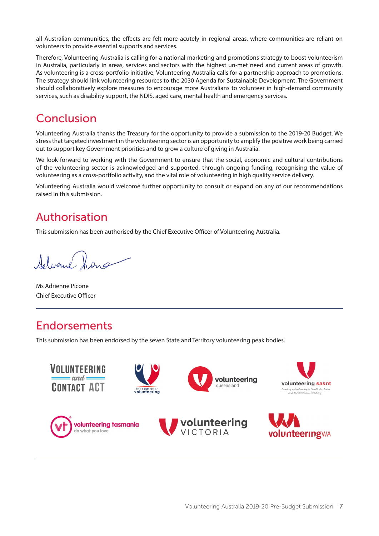all Australian communities, the effects are felt more acutely in regional areas, where communities are reliant on volunteers to provide essential supports and services.

Therefore, Volunteering Australia is calling for a national marketing and promotions strategy to boost volunteerism in Australia, particularly in areas, services and sectors with the highest un-met need and current areas of growth. As volunteering is a cross-portfolio initiative, Volunteering Australia calls for a partnership approach to promotions. The strategy should link volunteering resources to the 2030 Agenda for Sustainable Development. The Government should collaboratively explore measures to encourage more Australians to volunteer in high-demand community services, such as disability support, the NDIS, aged care, mental health and emergency services.

## Conclusion

Volunteering Australia thanks the Treasury for the opportunity to provide a submission to the 2019-20 Budget. We stress that targeted investment in the volunteering sector is an opportunity to amplify the positive work being carried out to support key Government priorities and to grow a culture of giving in Australia.

We look forward to working with the Government to ensure that the social, economic and cultural contributions of the volunteering sector is acknowledged and supported, through ongoing funding, recognising the value of volunteering as a cross-portfolio activity, and the vital role of volunteering in high quality service delivery.

Volunteering Australia would welcome further opportunity to consult or expand on any of our recommendations raised in this submission.

## Authorisation

This submission has been authorised by the Chief Executive Officer of Volunteering Australia.

Adjoure

Ms Adrienne Picone Chief Executive Officer

## Endorsements

This submission has been endorsed by the seven State and Territory volunteering peak bodies.

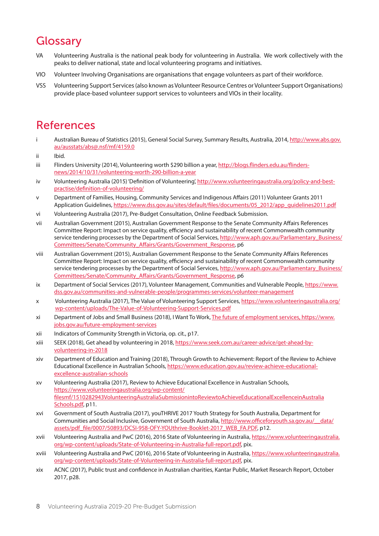# **Glossary**

- VA Volunteering Australia is the national peak body for volunteering in Australia. We work collectively with the peaks to deliver national, state and local volunteering programs and initiatives.
- VIO Volunteer Involving Organisations are organisations that engage volunteers as part of their workforce.
- VSS Volunteering Support Services (also known as Volunteer Resource Centres or Volunteer Support Organisations) provide place-based volunteer support services to volunteers and VIOs in their locality.

### References

- i Australian Bureau of Statistics (2015), General Social Survey, Summary Results, Australia, 2014, [http://www.abs.gov.](mailto:http://www.abs.gov.au/ausstats/abs@.nsf/mf/4159.0) [au/ausstats/abs@.nsf/mf/4159.0](mailto:http://www.abs.gov.au/ausstats/abs@.nsf/mf/4159.0)
- ii Ibid.
- iii Flinders University (2014), Volunteering worth \$290 billion a year, [http://blogs.flinders.edu.au/flinders](http://blogs.flinders.edu.au/flinders-news/2014/10/31/volunteering-worth-290-billion-a-year)[news/2014/10/31/volunteering-worth-290-billion-a-year](http://blogs.flinders.edu.au/flinders-news/2014/10/31/volunteering-worth-290-billion-a-year)
- iv Volunteering Australia (2015) 'Definition of Volunteering', [http://www.volunteeringaustralia.org/policy-and-best](http://www.volunteeringaustralia.org/policy-and-best-practise/definition-of-volunteering/)[practise/definition-of-volunteering/](http://www.volunteeringaustralia.org/policy-and-best-practise/definition-of-volunteering/)
- v Department of Families, Housing, Community Services and Indigenous Affairs (2011) Volunteer Grants 2011 Application Guidelines, [https://www.dss.gov.au/sites/default/files/documents/05\\_2012/app\\_guidelines2011.pdf](https://www.dss.gov.au/sites/default/files/documents/05_2012/app_guidelines2011.pdf)
- vi Volunteering Australia (2017), Pre-Budget Consultation, Online Feedback Submission.
- vii Australian Government (2015), Australian Government Response to the Senate Community Affairs References Committee Report: Impact on service quality, efficiency and sustainability of recent Commonwealth community service tendering processes by the Department of Social Services, [http://www.aph.gov.au/Parliamentary\\_Business/](http://www.aph.gov.au/Parliamentary_Business/Committees/Senate/Community_Affairs/Grants/Government_Response) [Committees/Senate/Community\\_Affairs/Grants/Government\\_Response,](http://www.aph.gov.au/Parliamentary_Business/Committees/Senate/Community_Affairs/Grants/Government_Response) p6
- viii Australian Government (2015), Australian Government Response to the Senate Community Affairs References Committee Report: Impact on service quality, efficiency and sustainability of recent Commonwealth community service tendering processes by the Department of Social Services, [http://www.aph.gov.au/Parliamentary\\_Business/](http://www.aph.gov.au/Parliamentary_Business/Committees/Senate/Community_Affairs/Grants/Government_Response) [Committees/Senate/Community\\_Affairs/Grants/Government\\_Response,](http://www.aph.gov.au/Parliamentary_Business/Committees/Senate/Community_Affairs/Grants/Government_Response) p6
- ix Department of Social Services (2017), Volunteer Management, Communities and Vulnerable People, [https://www.](https://www.dss.gov.au/communities-and-vulnerable-people/programmes-services/volunteer-management) [dss.gov.au/communities-and-vulnerable-people/programmes-services/volunteer-management](https://www.dss.gov.au/communities-and-vulnerable-people/programmes-services/volunteer-management)
- x Volunteering Australia (2017), The Value of Volunteering Support Services, [https://www.volunteeringaustralia.org/](https://www.volunteeringaustralia.org/wp-content/uploads/The-Value-of-Volunteering-Support-Services.pdf) [wp-content/uploads/The-Value-of-Volunteering-Support-Services.pdf](https://www.volunteeringaustralia.org/wp-content/uploads/The-Value-of-Volunteering-Support-Services.pdf)
- xi Department of Jobs and Small Business (2018), I Want To Work, [The future of employment services, https://www.](The future of employment services, https://www.jobs.gov.au/future-employment-services) [jobs.gov.au/future-employment-services](The future of employment services, https://www.jobs.gov.au/future-employment-services)
- xii Indicators of Community Strength in Victoria, op. cit., p17.
- xiii SEEK (2018), Get ahead by volunteering in 2018, [https://www.seek.com.au/career-advice/get-ahead-by](https://www.seek.com.au/career-advice/get-ahead-by-volunteering-in-2018)[volunteering-in-2018](https://www.seek.com.au/career-advice/get-ahead-by-volunteering-in-2018)
- xiv Department of Education and Training (2018), Through Growth to Achievement: Report of the Review to Achieve Educational Excellence in Australian Schools, [https://www.education.gov.au/review-achieve-educational](https://www.education.gov.au/review-achieve-educational-excellence-australian-schools)[excellence-australian-schools](https://www.education.gov.au/review-achieve-educational-excellence-australian-schools)
- xv Volunteering Australia (2017), Review to Achieve Educational Excellence in Australian Schools, [https://www.volunteeringaustralia.org/wp-content/](https://www.volunteeringaustralia.org/wp-content/filesmf/1510282943VolunteeringAustraliaSubmissionintoReviewtoAchieveEducationalExcellenceinAustralia Schools.pdf) [filesmf/1510282943VolunteeringAustraliaSubmissionintoReviewtoAchieveEducationalExcellenceinAustralia](https://www.volunteeringaustralia.org/wp-content/filesmf/1510282943VolunteeringAustraliaSubmissionintoReviewtoAchieveEducationalExcellenceinAustralia Schools.pdf) [Schools.pdf,](https://www.volunteeringaustralia.org/wp-content/filesmf/1510282943VolunteeringAustraliaSubmissionintoReviewtoAchieveEducationalExcellenceinAustralia Schools.pdf) p11.
- xvi Government of South Australia (2017), youTHRIVE 2017 Youth Strategy for South Australia, Department for Communities and Social Inclusive, Government of South Australia, http://www.officeforyouth.sa.gov.au/ data/ [assets/pdf\\_file/0007/50893/DCSI-958-OFY-YOUthrive-Booklet-2017\\_WEB\\_FA.PDF](http://www.officeforyouth.sa.gov.au/__data/assets/pdf_file/0007/50893/DCSI-958-OFY-YOUthrive-Booklet-2017_WEB_FA.PDF), p12.
- xvii Volunteering Australia and PwC (2016), 2016 State of Volunteering in Australia, [https://www.volunteeringaustralia.](https://www.volunteeringaustralia.org/wp-content/uploads/State-of-Volunteering-in-Australia-full-report.pdf) [org/wp-content/uploads/State-of-Volunteering-in-Australia-full-report.pdf,](https://www.volunteeringaustralia.org/wp-content/uploads/State-of-Volunteering-in-Australia-full-report.pdf) pix.
- xviii Volunteering Australia and PwC (2016), 2016 State of Volunteering in Australia, [https://www.volunteeringaustralia.](https://www.volunteeringaustralia.org/wp-content/uploads/State-of-Volunteering-in-Australia-full-report.pdf) [org/wp-content/uploads/State-of-Volunteering-in-Australia-full-report.pdf,](https://www.volunteeringaustralia.org/wp-content/uploads/State-of-Volunteering-in-Australia-full-report.pdf) pix.
- xix ACNC (2017), Public trust and confidence in Australian charities, Kantar Public, Market Research Report, October 2017, p28.